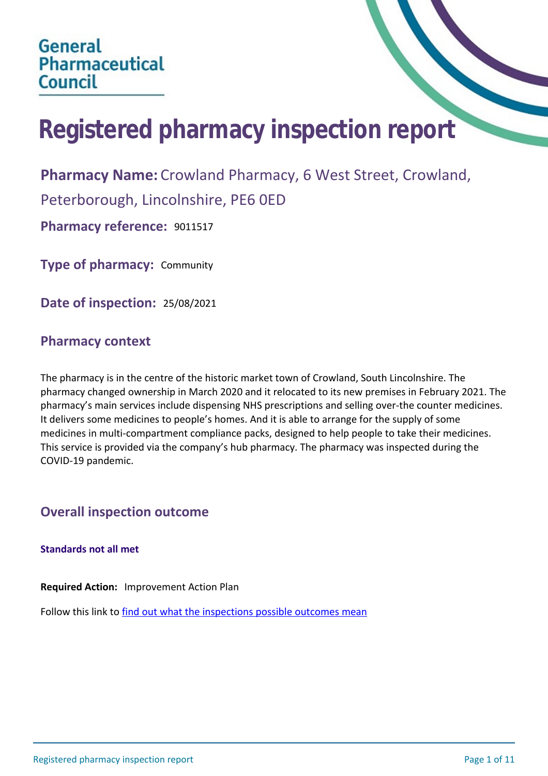# **Registered pharmacy inspection report**

**Pharmacy Name:** Crowland Pharmacy, 6 West Street, Crowland,

Peterborough, Lincolnshire, PE6 0ED

**Pharmacy reference:** 9011517

**Type of pharmacy:** Community

**Date of inspection:** 25/08/2021

## **Pharmacy context**

The pharmacy is in the centre of the historic market town of Crowland, South Lincolnshire. The pharmacy changed ownership in March 2020 and it relocated to its new premises in February 2021. The pharmacy's main services include dispensing NHS prescriptions and selling over-the counter medicines. It delivers some medicines to people's homes. And it is able to arrange for the supply of some medicines in multi-compartment compliance packs, designed to help people to take their medicines. This service is provided via the company's hub pharmacy. The pharmacy was inspected during the COVID-19 pandemic.

## **Overall inspection outcome**

## **Standards not all met**

**Required Action:** Improvement Action Plan

Follow this link to [find out what the inspections possible outcomes mean](#page-10-0)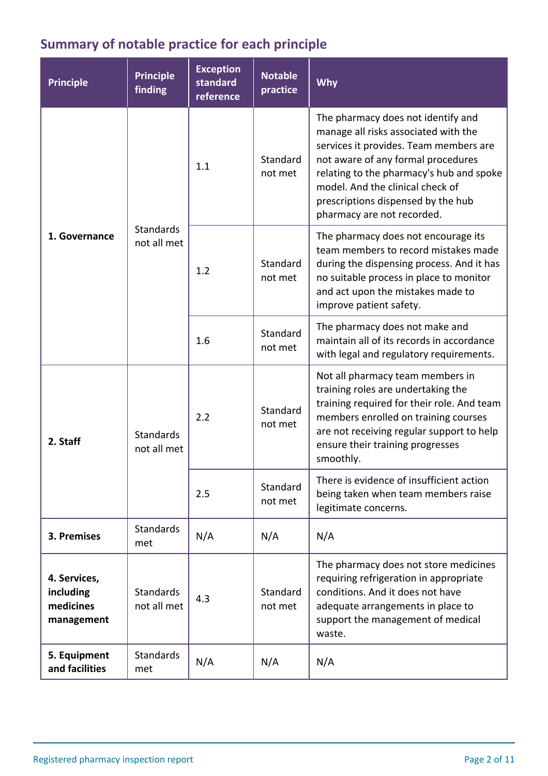## **Summary of notable practice for each principle**

| <b>Principle</b>                                     | <b>Principle</b><br>finding     | <b>Exception</b><br>standard<br>reference | <b>Notable</b><br>practice | Why                                                                                                                                                                                                                                                                                                            |
|------------------------------------------------------|---------------------------------|-------------------------------------------|----------------------------|----------------------------------------------------------------------------------------------------------------------------------------------------------------------------------------------------------------------------------------------------------------------------------------------------------------|
| 1. Governance                                        | <b>Standards</b><br>not all met | 1.1                                       | Standard<br>not met        | The pharmacy does not identify and<br>manage all risks associated with the<br>services it provides. Team members are<br>not aware of any formal procedures<br>relating to the pharmacy's hub and spoke<br>model. And the clinical check of<br>prescriptions dispensed by the hub<br>pharmacy are not recorded. |
|                                                      |                                 | 1.2                                       | Standard<br>not met        | The pharmacy does not encourage its<br>team members to record mistakes made<br>during the dispensing process. And it has<br>no suitable process in place to monitor<br>and act upon the mistakes made to<br>improve patient safety.                                                                            |
|                                                      |                                 | 1.6                                       | Standard<br>not met        | The pharmacy does not make and<br>maintain all of its records in accordance<br>with legal and regulatory requirements.                                                                                                                                                                                         |
| 2. Staff                                             | <b>Standards</b><br>not all met | 2.2                                       | Standard<br>not met        | Not all pharmacy team members in<br>training roles are undertaking the<br>training required for their role. And team<br>members enrolled on training courses<br>are not receiving regular support to help<br>ensure their training progresses<br>smoothly.                                                     |
|                                                      |                                 | 2.5                                       | Standard<br>not met        | There is evidence of insufficient action<br>being taken when team members raise<br>legitimate concerns.                                                                                                                                                                                                        |
| 3. Premises                                          | <b>Standards</b><br>met         | N/A                                       | N/A                        | N/A                                                                                                                                                                                                                                                                                                            |
| 4. Services,<br>including<br>medicines<br>management | <b>Standards</b><br>not all met | 4.3                                       | Standard<br>not met        | The pharmacy does not store medicines<br>requiring refrigeration in appropriate<br>conditions. And it does not have<br>adequate arrangements in place to<br>support the management of medical<br>waste.                                                                                                        |
| 5. Equipment<br>and facilities                       | <b>Standards</b><br>met         | N/A                                       | N/A                        | N/A                                                                                                                                                                                                                                                                                                            |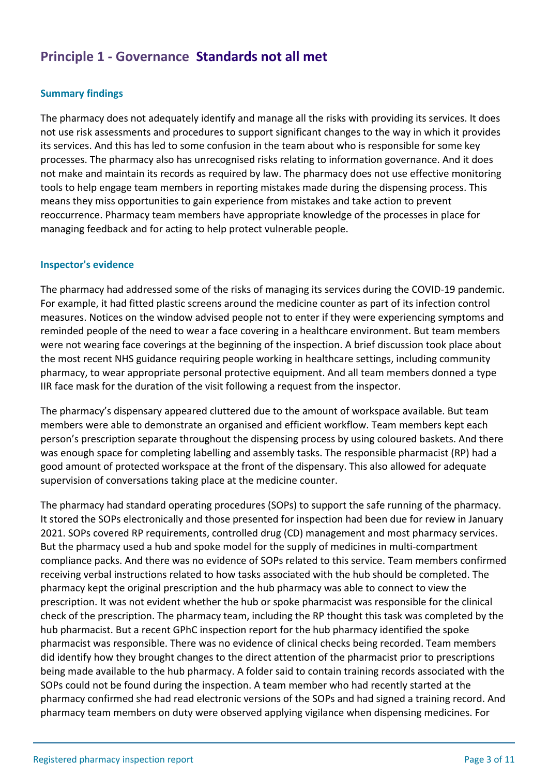## **Principle 1 - Governance Standards not all met**

## **Summary findings**

The pharmacy does not adequately identify and manage all the risks with providing its services. It does not use risk assessments and procedures to support significant changes to the way in which it provides its services. And this has led to some confusion in the team about who is responsible for some key processes. The pharmacy also has unrecognised risks relating to information governance. And it does not make and maintain its records as required by law. The pharmacy does not use effective monitoring tools to help engage team members in reporting mistakes made during the dispensing process. This means they miss opportunities to gain experience from mistakes and take action to prevent reoccurrence. Pharmacy team members have appropriate knowledge of the processes in place for managing feedback and for acting to help protect vulnerable people.

#### **Inspector's evidence**

The pharmacy had addressed some of the risks of managing its services during the COVID-19 pandemic. For example, it had fitted plastic screens around the medicine counter as part of its infection control measures. Notices on the window advised people not to enter if they were experiencing symptoms and reminded people of the need to wear a face covering in a healthcare environment. But team members were not wearing face coverings at the beginning of the inspection. A brief discussion took place about the most recent NHS guidance requiring people working in healthcare settings, including community pharmacy, to wear appropriate personal protective equipment. And all team members donned a type IIR face mask for the duration of the visit following a request from the inspector.

The pharmacy's dispensary appeared cluttered due to the amount of workspace available. But team members were able to demonstrate an organised and efficient workflow. Team members kept each person's prescription separate throughout the dispensing process by using coloured baskets. And there was enough space for completing labelling and assembly tasks. The responsible pharmacist (RP) had a good amount of protected workspace at the front of the dispensary. This also allowed for adequate supervision of conversations taking place at the medicine counter.

The pharmacy had standard operating procedures (SOPs) to support the safe running of the pharmacy. It stored the SOPs electronically and those presented for inspection had been due for review in January 2021. SOPs covered RP requirements, controlled drug (CD) management and most pharmacy services. But the pharmacy used a hub and spoke model for the supply of medicines in multi-compartment compliance packs. And there was no evidence of SOPs related to this service. Team members confirmed receiving verbal instructions related to how tasks associated with the hub should be completed. The pharmacy kept the original prescription and the hub pharmacy was able to connect to view the prescription. It was not evident whether the hub or spoke pharmacist was responsible for the clinical check of the prescription. The pharmacy team, including the RP thought this task was completed by the hub pharmacist. But a recent GPhC inspection report for the hub pharmacy identified the spoke pharmacist was responsible. There was no evidence of clinical checks being recorded. Team members did identify how they brought changes to the direct attention of the pharmacist prior to prescriptions being made available to the hub pharmacy. A folder said to contain training records associated with the SOPs could not be found during the inspection. A team member who had recently started at the pharmacy confirmed she had read electronic versions of the SOPs and had signed a training record. And pharmacy team members on duty were observed applying vigilance when dispensing medicines. For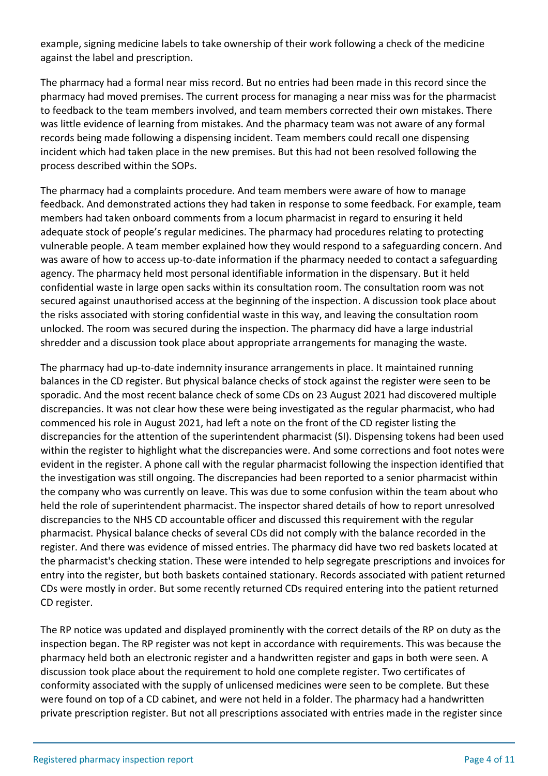example, signing medicine labels to take ownership of their work following a check of the medicine against the label and prescription.

The pharmacy had a formal near miss record. But no entries had been made in this record since the pharmacy had moved premises. The current process for managing a near miss was for the pharmacist to feedback to the team members involved, and team members corrected their own mistakes. There was little evidence of learning from mistakes. And the pharmacy team was not aware of any formal records being made following a dispensing incident. Team members could recall one dispensing incident which had taken place in the new premises. But this had not been resolved following the process described within the SOPs.

The pharmacy had a complaints procedure. And team members were aware of how to manage feedback. And demonstrated actions they had taken in response to some feedback. For example, team members had taken onboard comments from a locum pharmacist in regard to ensuring it held adequate stock of people's regular medicines. The pharmacy had procedures relating to protecting vulnerable people. A team member explained how they would respond to a safeguarding concern. And was aware of how to access up-to-date information if the pharmacy needed to contact a safeguarding agency. The pharmacy held most personal identifiable information in the dispensary. But it held confidential waste in large open sacks within its consultation room. The consultation room was not secured against unauthorised access at the beginning of the inspection. A discussion took place about the risks associated with storing confidential waste in this way, and leaving the consultation room unlocked. The room was secured during the inspection. The pharmacy did have a large industrial shredder and a discussion took place about appropriate arrangements for managing the waste.

The pharmacy had up-to-date indemnity insurance arrangements in place. It maintained running balances in the CD register. But physical balance checks of stock against the register were seen to be sporadic. And the most recent balance check of some CDs on 23 August 2021 had discovered multiple discrepancies. It was not clear how these were being investigated as the regular pharmacist, who had commenced his role in August 2021, had left a note on the front of the CD register listing the discrepancies for the attention of the superintendent pharmacist (SI). Dispensing tokens had been used within the register to highlight what the discrepancies were. And some corrections and foot notes were evident in the register. A phone call with the regular pharmacist following the inspection identified that the investigation was still ongoing. The discrepancies had been reported to a senior pharmacist within the company who was currently on leave. This was due to some confusion within the team about who held the role of superintendent pharmacist. The inspector shared details of how to report unresolved discrepancies to the NHS CD accountable officer and discussed this requirement with the regular pharmacist. Physical balance checks of several CDs did not comply with the balance recorded in the register. And there was evidence of missed entries. The pharmacy did have two red baskets located at the pharmacist's checking station. These were intended to help segregate prescriptions and invoices for entry into the register, but both baskets contained stationary. Records associated with patient returned CDs were mostly in order. But some recently returned CDs required entering into the patient returned CD register.

The RP notice was updated and displayed prominently with the correct details of the RP on duty as the inspection began. The RP register was not kept in accordance with requirements. This was because the pharmacy held both an electronic register and a handwritten register and gaps in both were seen. A discussion took place about the requirement to hold one complete register. Two certificates of conformity associated with the supply of unlicensed medicines were seen to be complete. But these were found on top of a CD cabinet, and were not held in a folder. The pharmacy had a handwritten private prescription register. But not all prescriptions associated with entries made in the register since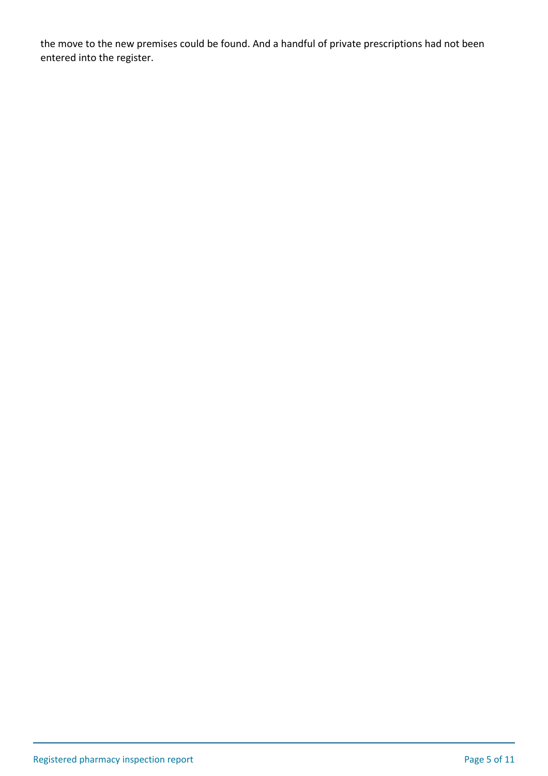the move to the new premises could be found. And a handful of private prescriptions had not been entered into the register.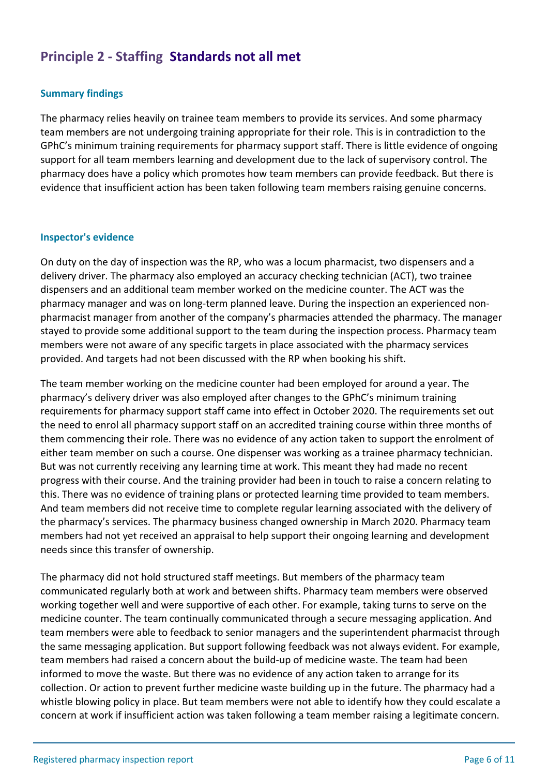## **Principle 2 - Staffing Standards not all met**

#### **Summary findings**

The pharmacy relies heavily on trainee team members to provide its services. And some pharmacy team members are not undergoing training appropriate for their role. This is in contradiction to the GPhC's minimum training requirements for pharmacy support staff. There is little evidence of ongoing support for all team members learning and development due to the lack of supervisory control. The pharmacy does have a policy which promotes how team members can provide feedback. But there is evidence that insufficient action has been taken following team members raising genuine concerns.

#### **Inspector's evidence**

On duty on the day of inspection was the RP, who was a locum pharmacist, two dispensers and a delivery driver. The pharmacy also employed an accuracy checking technician (ACT), two trainee dispensers and an additional team member worked on the medicine counter. The ACT was the pharmacy manager and was on long-term planned leave. During the inspection an experienced nonpharmacist manager from another of the company's pharmacies attended the pharmacy. The manager stayed to provide some additional support to the team during the inspection process. Pharmacy team members were not aware of any specific targets in place associated with the pharmacy services provided. And targets had not been discussed with the RP when booking his shift.

The team member working on the medicine counter had been employed for around a year. The pharmacy's delivery driver was also employed after changes to the GPhC's minimum training requirements for pharmacy support staff came into effect in October 2020. The requirements set out the need to enrol all pharmacy support staff on an accredited training course within three months of them commencing their role. There was no evidence of any action taken to support the enrolment of either team member on such a course. One dispenser was working as a trainee pharmacy technician. But was not currently receiving any learning time at work. This meant they had made no recent progress with their course. And the training provider had been in touch to raise a concern relating to this. There was no evidence of training plans or protected learning time provided to team members. And team members did not receive time to complete regular learning associated with the delivery of the pharmacy's services. The pharmacy business changed ownership in March 2020. Pharmacy team members had not yet received an appraisal to help support their ongoing learning and development needs since this transfer of ownership.

The pharmacy did not hold structured staff meetings. But members of the pharmacy team communicated regularly both at work and between shifts. Pharmacy team members were observed working together well and were supportive of each other. For example, taking turns to serve on the medicine counter. The team continually communicated through a secure messaging application. And team members were able to feedback to senior managers and the superintendent pharmacist through the same messaging application. But support following feedback was not always evident. For example, team members had raised a concern about the build-up of medicine waste. The team had been informed to move the waste. But there was no evidence of any action taken to arrange for its collection. Or action to prevent further medicine waste building up in the future. The pharmacy had a whistle blowing policy in place. But team members were not able to identify how they could escalate a concern at work if insufficient action was taken following a team member raising a legitimate concern.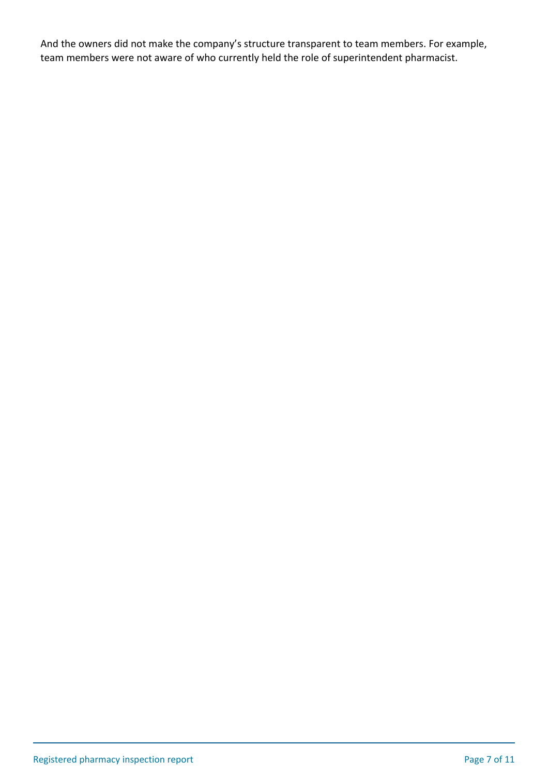And the owners did not make the company's structure transparent to team members. For example, team members were not aware of who currently held the role of superintendent pharmacist.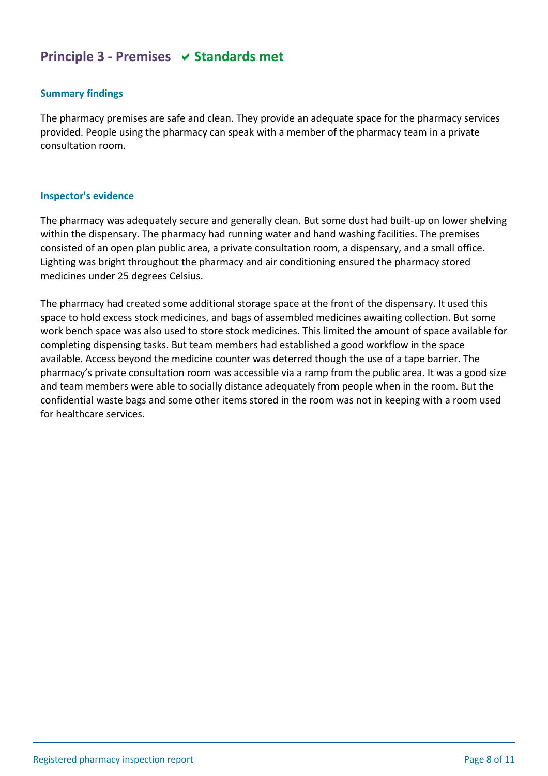## **Principle 3 - Premises**  $\vee$  **Standards met**

#### **Summary findings**

The pharmacy premises are safe and clean. They provide an adequate space for the pharmacy services provided. People using the pharmacy can speak with a member of the pharmacy team in a private consultation room.

#### **Inspector's evidence**

The pharmacy was adequately secure and generally clean. But some dust had built-up on lower shelving within the dispensary. The pharmacy had running water and hand washing facilities. The premises consisted of an open plan public area, a private consultation room, a dispensary, and a small office. Lighting was bright throughout the pharmacy and air conditioning ensured the pharmacy stored medicines under 25 degrees Celsius.

The pharmacy had created some additional storage space at the front of the dispensary. It used this space to hold excess stock medicines, and bags of assembled medicines awaiting collection. But some work bench space was also used to store stock medicines. This limited the amount of space available for completing dispensing tasks. But team members had established a good workflow in the space available. Access beyond the medicine counter was deterred though the use of a tape barrier. The pharmacy's private consultation room was accessible via a ramp from the public area. It was a good size and team members were able to socially distance adequately from people when in the room. But the confidential waste bags and some other items stored in the room was not in keeping with a room used for healthcare services.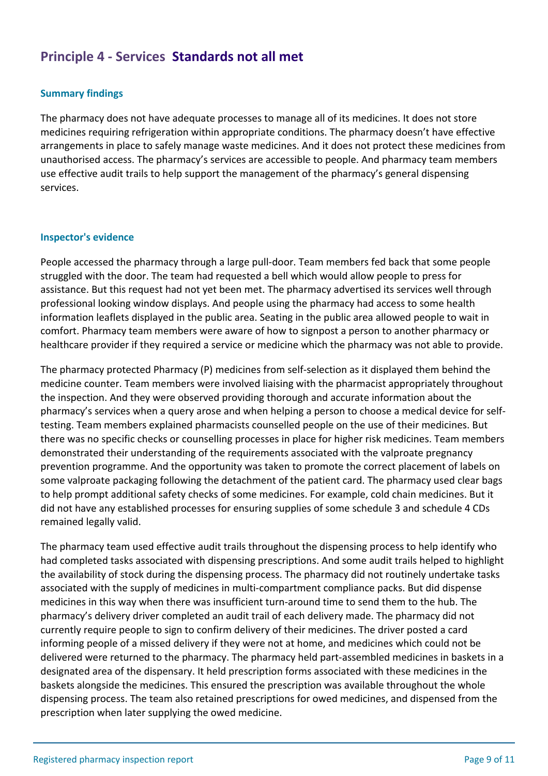## **Principle 4 - Services Standards not all met**

## **Summary findings**

The pharmacy does not have adequate processes to manage all of its medicines. It does not store medicines requiring refrigeration within appropriate conditions. The pharmacy doesn't have effective arrangements in place to safely manage waste medicines. And it does not protect these medicines from unauthorised access. The pharmacy's services are accessible to people. And pharmacy team members use effective audit trails to help support the management of the pharmacy's general dispensing services.

#### **Inspector's evidence**

People accessed the pharmacy through a large pull-door. Team members fed back that some people struggled with the door. The team had requested a bell which would allow people to press for assistance. But this request had not yet been met. The pharmacy advertised its services well through professional looking window displays. And people using the pharmacy had access to some health information leaflets displayed in the public area. Seating in the public area allowed people to wait in comfort. Pharmacy team members were aware of how to signpost a person to another pharmacy or healthcare provider if they required a service or medicine which the pharmacy was not able to provide.

The pharmacy protected Pharmacy (P) medicines from self-selection as it displayed them behind the medicine counter. Team members were involved liaising with the pharmacist appropriately throughout the inspection. And they were observed providing thorough and accurate information about the pharmacy's services when a query arose and when helping a person to choose a medical device for selftesting. Team members explained pharmacists counselled people on the use of their medicines. But there was no specific checks or counselling processes in place for higher risk medicines. Team members demonstrated their understanding of the requirements associated with the valproate pregnancy prevention programme. And the opportunity was taken to promote the correct placement of labels on some valproate packaging following the detachment of the patient card. The pharmacy used clear bags to help prompt additional safety checks of some medicines. For example, cold chain medicines. But it did not have any established processes for ensuring supplies of some schedule 3 and schedule 4 CDs remained legally valid.

The pharmacy team used effective audit trails throughout the dispensing process to help identify who had completed tasks associated with dispensing prescriptions. And some audit trails helped to highlight the availability of stock during the dispensing process. The pharmacy did not routinely undertake tasks associated with the supply of medicines in multi-compartment compliance packs. But did dispense medicines in this way when there was insufficient turn-around time to send them to the hub. The pharmacy's delivery driver completed an audit trail of each delivery made. The pharmacy did not currently require people to sign to confirm delivery of their medicines. The driver posted a card informing people of a missed delivery if they were not at home, and medicines which could not be delivered were returned to the pharmacy. The pharmacy held part-assembled medicines in baskets in a designated area of the dispensary. It held prescription forms associated with these medicines in the baskets alongside the medicines. This ensured the prescription was available throughout the whole dispensing process. The team also retained prescriptions for owed medicines, and dispensed from the prescription when later supplying the owed medicine.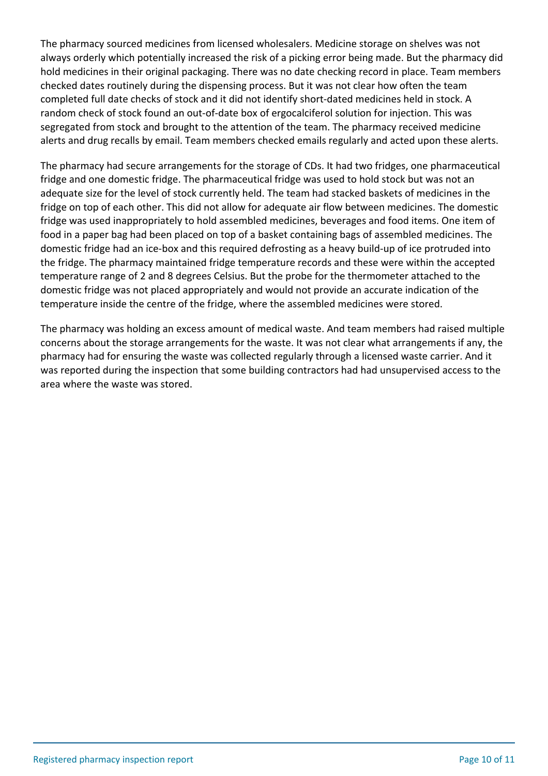The pharmacy sourced medicines from licensed wholesalers. Medicine storage on shelves was not always orderly which potentially increased the risk of a picking error being made. But the pharmacy did hold medicines in their original packaging. There was no date checking record in place. Team members checked dates routinely during the dispensing process. But it was not clear how often the team completed full date checks of stock and it did not identify short-dated medicines held in stock. A random check of stock found an out-of-date box of ergocalciferol solution for injection. This was segregated from stock and brought to the attention of the team. The pharmacy received medicine alerts and drug recalls by email. Team members checked emails regularly and acted upon these alerts.

The pharmacy had secure arrangements for the storage of CDs. It had two fridges, one pharmaceutical fridge and one domestic fridge. The pharmaceutical fridge was used to hold stock but was not an adequate size for the level of stock currently held. The team had stacked baskets of medicines in the fridge on top of each other. This did not allow for adequate air flow between medicines. The domestic fridge was used inappropriately to hold assembled medicines, beverages and food items. One item of food in a paper bag had been placed on top of a basket containing bags of assembled medicines. The domestic fridge had an ice-box and this required defrosting as a heavy build-up of ice protruded into the fridge. The pharmacy maintained fridge temperature records and these were within the accepted temperature range of 2 and 8 degrees Celsius. But the probe for the thermometer attached to the domestic fridge was not placed appropriately and would not provide an accurate indication of the temperature inside the centre of the fridge, where the assembled medicines were stored.

The pharmacy was holding an excess amount of medical waste. And team members had raised multiple concerns about the storage arrangements for the waste. It was not clear what arrangements if any, the pharmacy had for ensuring the waste was collected regularly through a licensed waste carrier. And it was reported during the inspection that some building contractors had had unsupervised access to the area where the waste was stored.